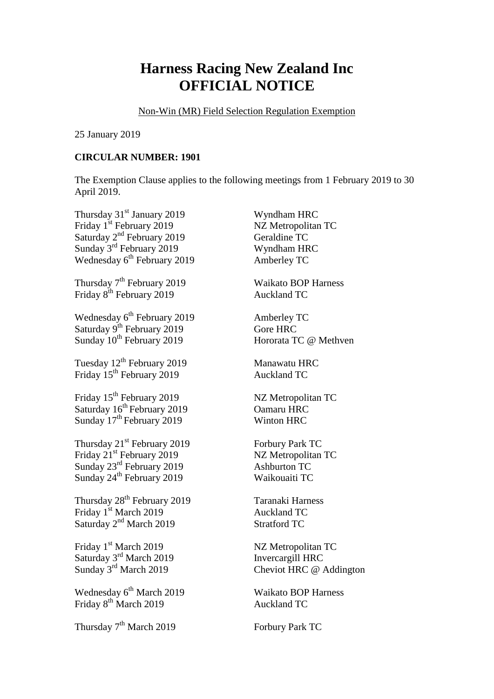## **Harness Racing New Zealand Inc OFFICIAL NOTICE**

Non-Win (MR) Field Selection Regulation Exemption

25 January 2019

## **CIRCULAR NUMBER: 1901**

The Exemption Clause applies to the following meetings from 1 February 2019 to 30 April 2019.

Thursday 31<sup>st</sup> January 2019 Wyndham HRC Friday 1<sup>st</sup> February 2019 NZ Metropolitan TC Saturday 2<sup>nd</sup> February 2019 Geraldine TC Sunday 3<sup>rd</sup> February 2019 Wyndham HRC Wednesday 6<sup>th</sup> February 2019 Amberley TC Thursday 7<sup>th</sup> February 2019 Waikato BOP Harness Friday 8<sup>th</sup> February 2019 **Auckland TC** Wednesday 6<sup>th</sup> February 2019 Amberley TC Saturday 9<sup>th</sup> February 2019 Gore HRC Sunday 10<sup>th</sup> February 2019 Hororata TC @ Methven Tuesday  $12^{th}$  February 2019 Manawatu HRC Friday 15<sup>th</sup> February 2019 **Auckland TC** Friday 15<sup>th</sup> February 2019 NZ Metropolitan TC Saturday  $16^{th}$  February 2019 Camaru HRC Sunday 17<sup>th</sup> February 2019 Winton HRC Thursday  $21^{st}$  February 2019 Forbury Park TC Friday 21<sup>st</sup> February 2019 NZ Metropolitan TC Sunday 23 rd February 2019 Ashburton TC Sunday 24<sup>th</sup> February 2019 Waikouaiti TC Thursday 28<sup>th</sup> February 2019 **Taranaki Harness** Friday 1<sup>st</sup> March 2019 **Auckland TC** Saturday 2<sup>nd</sup> March 2019 Stratford TC Friday 1<sup>st</sup> March 2019 NZ Metropolitan TC Saturday 3 Sunday 3 Wednesday 6<sup>th</sup> March 2019 Friday 8<sup>th</sup> March 2019 Auckland TC Thursday 7<sup>th</sup> March 2019 **Forbury Park TC** 

Invercargill HRC Cheviot HRC @ Addington

Waikato BOP Harness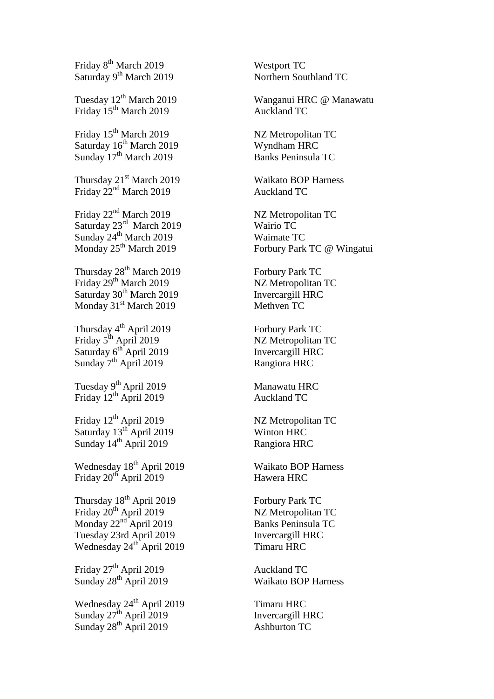Friday 8<sup>th</sup> March 2019 Westport TC Saturday 9<sup>th</sup> March 2019 Northern Southland TC Tuesday 12<sup>th</sup> March 2019 Friday 15<sup>th</sup> March 2019 Auckland TC Friday 15<sup>th</sup> March 2019 Saturday 16<sup>th</sup> March 2019 Wyndham HRC Sunday 17<sup>th</sup> March 2019 **Banks Peninsula TC** Thursday 21<sup>st</sup> March 2019 Waikato BOP Harness Friday  $22<sup>nd</sup>$  March 2019 Auckland TC Friday 22<sup>nd</sup> March 2019 NZ Metropolitan TC Saturday 23<sup>rd</sup> March 2019 Wairio TC Sunday 24<sup>th</sup> March 2019 Waimate TC Monday 25<sup>th</sup> March 2019 Thursday 28<sup>th</sup> March 2019 **Forbury Park TC** Friday 29<sup>th</sup> March 2019 NZ Metropolitan TC Saturday 30<sup>th</sup> March 2019 Invercargill HRC Monday 31<sup>st</sup> March 2019 Methven TC Thursday 4 Friday 5 Saturday 6<sup>th</sup> April 2019 **Invercargill HRC** Sunday 7<sup>th</sup> April 2019 Rangiora HRC Tuesday 9<sup>th</sup> April 2019 Manawatu HRC Friday 12<sup>th</sup> April 2019 Auckland TC Friday  $12<sup>th</sup>$  April 2019 NZ Metropolitan TC Saturday 13<sup>th</sup> April 2019 Winton HRC Sunday 14<sup>th</sup> April 2019 Rangiora HRC Wednesday 18<sup>th</sup> April 2019 Waikato BOP Harness Friday 20<sup>th</sup> April 2019 Hawera HRC Thursday 18<sup>th</sup> April 2019 Forbury Park TC Friday 20<sup>th</sup> April 2019 NZ Metropolitan TC Monday 22 Tuesday 23rd April 2019 **Invercargill HRC** Wednesday 24<sup>th</sup> April 2019 Timaru HRC Friday  $27<sup>th</sup>$  April 2019 Auckland TC Sunday 28<sup>th</sup> April 2019 Waikato BOP Harness Wednesday 24<sup>th</sup> April 2019 Timaru HRC Sunday  $27^{\text{th}}$  April 2019 Invercargill HRC Sunday  $28^{th}$  April 2019 Ashburton TC

Wanganui HRC @ Manawatu

NZ Metropolitan TC

Forbury Park TC @ Wingatui

Forbury Park TC NZ Metropolitan TC

Banks Peninsula TC